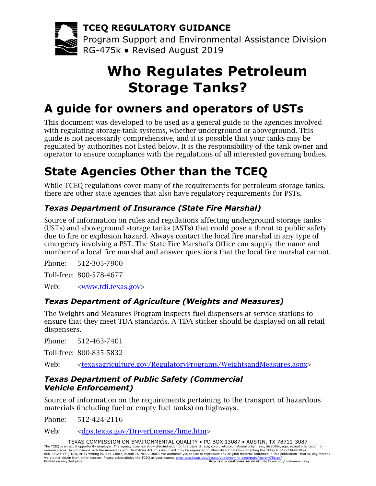**TCEQ REGULATORY GUIDANCE**

Program Support and Environmental Assistance Division RG-475k ● Revised August 2019

# **Who Regulates Petroleum Storage Tanks?**

## **A guide for owners and operators of USTs**

This document was developed to be used as a general guide to the agencies involved with regulating storage-tank systems, whether underground or aboveground. This guide is not necessarily comprehensive, and it is possible that your tanks may be regulated by authorities not listed below. It is the responsibility of the tank owner and operator to ensure compliance with the regulations of all interested governing bodies.

## **State Agencies Other than the TCEQ**

While TCEQ regulations cover many of the requirements for petroleum storage tanks, there are other state agencies that also have regulatory requirements for PSTs.

## *5BTexas Department of Insurance (State Fire Marshal)*

Source of information on rules and regulations affecting underground storage tanks (USTs) and aboveground storage tanks (ASTs) that could pose a threat to public safety due to fire or explosion hazard. Always contact the local fire marshal in any type of emergency involving a PST. The State Fire Marshal's Office can supply the name and number of a local fire marshal and answer questions that the local fire marshal cannot.

Phone: 512-305-7900 Toll-free: 800-578-4677 Web: <<u>www.tdi.texas.gov</u>>

## *6BTexas Department of Agriculture (Weights and Measures)*

The Weights and Measures Program inspects fuel dispensers at service stations to ensure that they meet TDA standards. A TDA sticker should be displayed on all retail dispensers.

Phone: 512-463-7401

Toll-free: 800-835-5832

Web: [<texasagriculture.gov/RegulatoryPrograms/WeightsandMeasures.aspx>](http://texasagriculture.gov/RegulatoryPrograms/WeightsandMeasures.aspx)

### *7BTexas Department of Public Safety (Commercial Vehicle Enforcement)*

Source of information on the requirements pertaining to the transport of hazardous materials (including fuel or empty fuel tanks) on highways.

Phone: 512-424-2116

Web: [<dps.texas.gov/DriverLicense/hme.htm>](http://dps.texas.gov/DriverLicense/hme.htm)

TEXAS COMMISSION ON ENVIRONMENTAL QUALITY • PO BOX 13087 • AUSTIN, TX 78711-3087 The TCEQ is an equal opportunity employer. The agency does not allow discrimination on the basis of race, color, religion, national origin, sex, disability, age, sexual orientation, or<br>veteran status. In compliance with th we did not obtain from other sources. Please acknowledge the TCEQ as your source. www.tceq.texas.gov/assets/pub<br>Printed on recycled paper. **How is our** Printed on reception of the paper. **How is our customer service?** [tceq.texas.gov/customersurvey](https://www.tceq.texas.gov/customersurvey)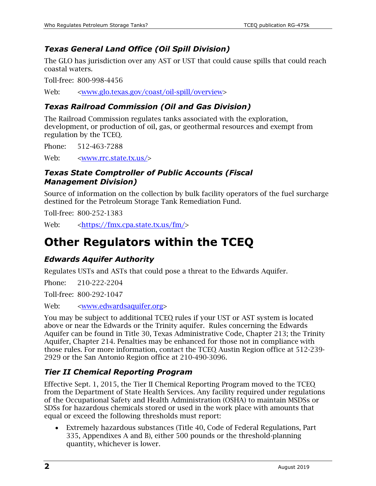## *8BTexas General Land Office (Oil Spill Division)*

The GLO has jurisdiction over any AST or UST that could cause spills that could reach coastal waters.

Toll-free: 800-998-4456

Web:  $\langle$ [www.glo.texas.gov/coast/oil-spill/overview>](http://www.glo.texas.gov/coast/oil-spill/overview)

## *9BTexas Railroad Commission (Oil and Gas Division)*

The Railroad Commission regulates tanks associated with the exploration, development, or production of oil, gas, or geothermal resources and exempt from regulation by the TCEQ.

Phone: 512-463-7288

Web: <[www.rrc.state.tx.us/](http://www.rrc.state.tx.us/)>

#### *Texas State Comptroller of Public Accounts (Fiscal Management Division)*

Source of information on the collection by bulk facility operators of the fuel surcharge destined for the Petroleum Storage Tank Remediation Fund.

Toll-free: 800-252-1383

Web:  $\langle$ <https://fmx.cpa.state.tx.us/fm/>>

## *2B***Other Regulators within the TCEQ**

### *1BEdwards Aquifer Authority*

Regulates USTs and ASTs that could pose a threat to the Edwards Aquifer.

Phone: 210-222-2204

Toll-free: 800-292-1047

Web:  $\langle$ [www.edwardsaquifer.org](http://www.edwardsaquifer.org/)>

You may be subject to additional TCEQ rules if your UST or AST system is located above or near the Edwards or the Trinity aquifer. Rules concerning the Edwards Aquifer can be found in Title 30, Texas Administrative Code, Chapter 213; the Trinity Aquifer, Chapter 214. Penalties may be enhanced for those not in compliance with those rules. For more information, contact the TCEQ Austin Region office at 512-239- 2929 or the San Antonio Region office at 210-490-3096.

### *Tier II Chemical Reporting Program*

Effective Sept. 1, 2015, the Tier II Chemical Reporting Program moved to the TCEQ from the Department of State Health Services. Any facility required under regulations of the Occupational Safety and Health Administration (OSHA) to maintain MSDSs or SDSs for hazardous chemicals stored or used in the work place with amounts that equal or exceed the following thresholds must report:

• Extremely hazardous substances (Title 40, Code of Federal Regulations, Part 335, Appendixes A and B), either 500 pounds or the threshold-planning quantity, whichever is lower.